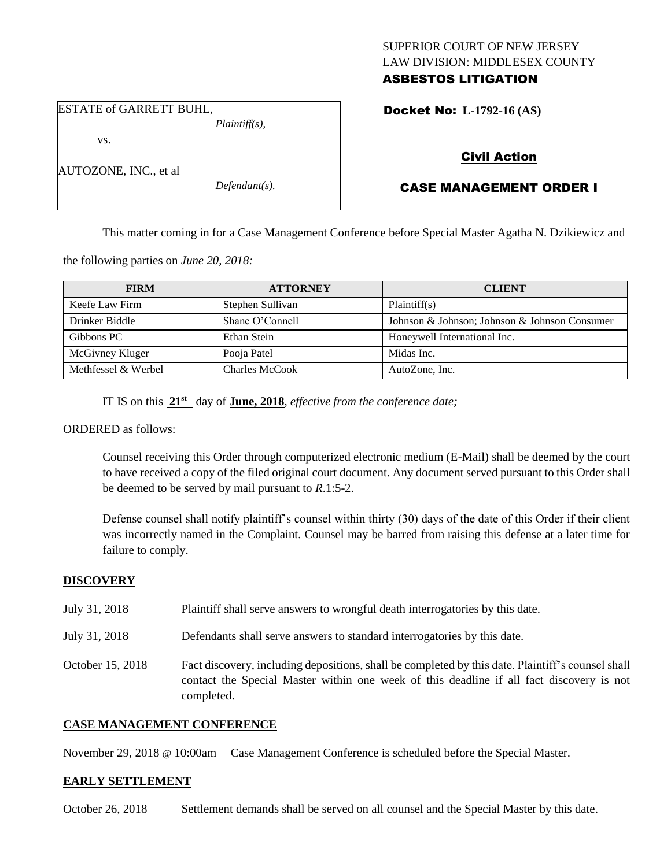## SUPERIOR COURT OF NEW JERSEY LAW DIVISION: MIDDLESEX COUNTY ASBESTOS LITIGATION

Docket No: **L-1792-16 (AS)** 

ESTATE of GARRETT BUHL,

vs.

AUTOZONE, INC., et al

*Plaintiff(s),*

*Defendant(s).*

Civil Action

# CASE MANAGEMENT ORDER I

This matter coming in for a Case Management Conference before Special Master Agatha N. Dzikiewicz and

the following parties on *June 20, 2018:*

| <b>FIRM</b>         | <b>ATTORNEY</b>  | <b>CLIENT</b>                                 |
|---------------------|------------------|-----------------------------------------------|
| Keefe Law Firm      | Stephen Sullivan | Plaintiff(s)                                  |
| Drinker Biddle      | Shane O'Connell  | Johnson & Johnson; Johnson & Johnson Consumer |
| Gibbons PC          | Ethan Stein      | Honeywell International Inc.                  |
| McGivney Kluger     | Pooja Patel      | Midas Inc.                                    |
| Methfessel & Werbel | Charles McCook   | AutoZone, Inc.                                |

IT IS on this **21st** day of **June, 2018**, *effective from the conference date;*

ORDERED as follows:

Counsel receiving this Order through computerized electronic medium (E-Mail) shall be deemed by the court to have received a copy of the filed original court document. Any document served pursuant to this Order shall be deemed to be served by mail pursuant to *R*.1:5-2.

Defense counsel shall notify plaintiff's counsel within thirty (30) days of the date of this Order if their client was incorrectly named in the Complaint. Counsel may be barred from raising this defense at a later time for failure to comply.

### **DISCOVERY**

- July 31, 2018 Plaintiff shall serve answers to wrongful death interrogatories by this date.
- July 31, 2018 Defendants shall serve answers to standard interrogatories by this date.
- October 15, 2018 Fact discovery, including depositions, shall be completed by this date. Plaintiff's counsel shall contact the Special Master within one week of this deadline if all fact discovery is not completed.

### **CASE MANAGEMENT CONFERENCE**

November 29, 2018 @ 10:00am Case Management Conference is scheduled before the Special Master.

#### **EARLY SETTLEMENT**

October 26, 2018 Settlement demands shall be served on all counsel and the Special Master by this date.